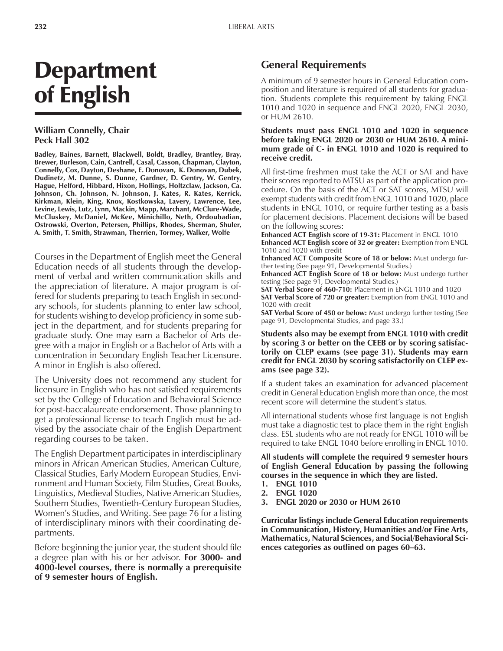# Department of English

## **William Connelly, Chair Peck Hall 302**

**Badley, Baines, Barnett, Blackwell, Boldt, Bradley, Brantley, Bray, Brewer, Burleson, Cain, Cantrell, Casal, Casson, Chapman, Clayton, Connelly, Cox, Dayton, Deshane, E. Donovan, K. Donovan, Dubek, Dudinetz, M. Dunne, S. Dunne, Gardner, D. Gentry, W. Gentry, Hague, Helford, Hibbard, Hixon, Hollings, Holtzclaw, Jackson, Ca. Johnson, Ch. Johnson, N. Johnson, J. Kates, R. Kates, Kerrick, Kirkman, Klein, King, Knox, Kostkowska, Lavery, Lawrence, Lee, Levine, Lewis, Lutz, Lynn, Mackin, Mapp, Marchant, McClure-Wade, McCluskey, McDaniel, McKee, Minichillo, Neth, Ordoubadian, Ostrowski, Overton, Petersen, Phillips, Rhodes, Sherman, Shuler, A. Smith, T. Smith, Strawman, Therrien, Tormey, Walker, Wolfe**

Courses in the Department of English meet the General Education needs of all students through the development of verbal and written communication skills and the appreciation of literature. A major program is offered for students preparing to teach English in secondary schools, for students planning to enter law school, for students wishing to develop proficiency in some subject in the department, and for students preparing for graduate study. One may earn a Bachelor of Arts degree with a major in English or a Bachelor of Arts with a concentration in Secondary English Teacher Licensure. A minor in English is also offered.

The University does not recommend any student for licensure in English who has not satisfied requirements set by the College of Education and Behavioral Science for post-baccalaureate endorsement. Those planning to get a professional license to teach English must be advised by the associate chair of the English Department regarding courses to be taken.

The English Department participates in interdisciplinary minors in African American Studies, American Culture, Classical Studies, Early Modern European Studies, Environment and Human Society, Film Studies, Great Books, Linguistics, Medieval Studies, Native American Studies, Southern Studies, Twentieth-Century European Studies, Womenís Studies, and Writing. See page 76 for a listing of interdisciplinary minors with their coordinating departments.

Before beginning the junior year, the student should file a degree plan with his or her advisor. **For 3000- and 4000-level courses, there is normally a prerequisite of 9 semester hours of English.**

# **General Requirements**

A minimum of 9 semester hours in General Education composition and literature is required of all students for graduation. Students complete this requirement by taking ENGL 1010 and 1020 in sequence and ENGL 2020, ENGL 2030, or HUM 2610.

#### **Students must pass ENGL 1010 and 1020 in sequence before taking ENGL 2020 or 2030 or HUM 2610. A minimum grade of C- in ENGL 1010 and 1020 is required to receive credit.**

All first-time freshmen must take the ACT or SAT and have their scores reported to MTSU as part of the application procedure. On the basis of the ACT or SAT scores, MTSU will exempt students with credit from ENGL 1010 and 1020, place students in ENGL 1010, or require further testing as a basis for placement decisions. Placement decisions will be based on the following scores:

**Enhanced ACT English score of 19-31:** Placement in ENGL 1010 **Enhanced ACT English score of 32 or greater:** Exemption from ENGL 1010 and 1020 with credit

**Enhanced ACT Composite Score of 18 or below:** Must undergo further testing (See page 91, Developmental Studies.)

**Enhanced ACT English Score of 18 or below:** Must undergo further testing (See page 91, Developmental Studies.)

**SAT Verbal Score of 460-710:** Placement in ENGL 1010 and 1020 **SAT Verbal Score of 720 or greater:** Exemption from ENGL 1010 and 1020 with credit

**SAT Verbal Score of 450 or below:** Must undergo further testing (See page 91, Developmental Studies, and page 33.)

#### **Students also may be exempt from ENGL 1010 with credit by scoring 3 or better on the CEEB or by scoring satisfactorily on CLEP exams (see page 31). Students may earn credit for ENGL 2030 by scoring satisfactorily on CLEP exams (see page 32).**

If a student takes an examination for advanced placement credit in General Education English more than once, the most recent score will determine the student's status.

All international students whose first language is not English must take a diagnostic test to place them in the right English class. ESL students who are not ready for ENGL 1010 will be required to take ENGL 1040 before enrolling in ENGL 1010.

**All students will complete the required 9 semester hours of English General Education by passing the following courses in the sequence in which they are listed.**

- **1. ENGL 1010**
- **2. ENGL 1020**
- **3. ENGL 2020 or 2030 or HUM 2610**

**Curricular listings include General Education requirements in Communication, History, Humanities and/or Fine Arts, Mathematics, Natural Sciences, and Social/Behavioral Sci**ences categories as outlined on pages 60–63.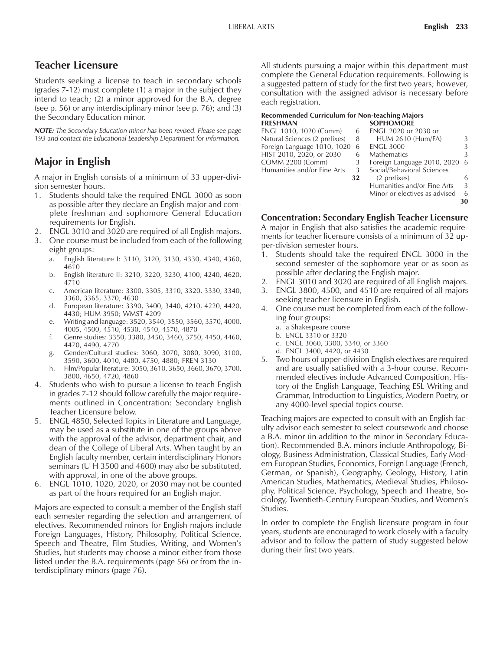# **Teacher Licensure**

Students seeking a license to teach in secondary schools (grades 7-12) must complete (1) a major in the subject they intend to teach; (2) a minor approved for the B.A. degree (see p. 56) or any interdisciplinary minor (see p. 76); and (3) the Secondary Education minor.

*NOTE: The Secondary Education minor has been revised. Please see page 193 and contact the Educational Leadership Department for information.*

# **Major in English**

A major in English consists of a minimum of 33 upper-division semester hours.

- 1. Students should take the required ENGL 3000 as soon as possible after they declare an English major and complete freshman and sophomore General Education requirements for English.
- 2. ENGL 3010 and 3020 are required of all English majors.
- 3. One course must be included from each of the following eight groups:
	- a. English literature I: 3110, 3120, 3130, 4330, 4340, 4360, 4610
	- b. English literature II: 3210, 3220, 3230, 4100, 4240, 4620, 4710
	- c. American literature: 3300, 3305, 3310, 3320, 3330, 3340, 3360, 3365, 3370, 4630
	- d. European literature: 3390, 3400, 3440, 4210, 4220, 4420, 4430; HUM 3950; WMST 4209
	- e. Writing and language: 3520, 3540, 3550, 3560, 3570, 4000, 4005, 4500, 4510, 4530, 4540, 4570, 4870
	- f. Genre studies: 3350, 3380, 3450, 3460, 3750, 4450, 4460, 4470, 4490, 4770
	- g. Gender/Cultural studies: 3060, 3070, 3080, 3090, 3100, 3590, 3600, 4010, 4480, 4750, 4880; FREN 3130
	- h. Film/Popular literature: 3050, 3610, 3650, 3660, 3670, 3700, 3800, 4650, 4720, 4860
- 4. Students who wish to pursue a license to teach English in grades 7-12 should follow carefully the major requirements outlined in Concentration: Secondary English Teacher Licensure below.
- 5. ENGL 4850, Selected Topics in Literature and Language, may be used as a substitute in one of the groups above with the approval of the advisor, department chair, and dean of the College of Liberal Arts. When taught by an English faculty member, certain interdisciplinary Honors seminars (U H 3500 and 4600) may also be substituted, with approval, in one of the above groups.
- 6. ENGL 1010, 1020, 2020, or 2030 may not be counted as part of the hours required for an English major.

Majors are expected to consult a member of the English staff each semester regarding the selection and arrangement of electives. Recommended minors for English majors include Foreign Languages, History, Philosophy, Political Science, Speech and Theatre, Film Studies, Writing, and Women's Studies, but students may choose a minor either from those listed under the B.A. requirements (page 56) or from the interdisciplinary minors (page 76).

All students pursuing a major within this department must complete the General Education requirements. Following is a suggested pattern of study for the first two years; however, consultation with the assigned advisor is necessary before each registration.

#### **Recommended Curriculum for Non-teaching Majors FRESHMAN SOPHOMORE**

| ENGL 1010, 1020 (Comm)<br>ENGL 2020 or 2030 or<br>6            | 3  |
|----------------------------------------------------------------|----|
|                                                                |    |
| Natural Sciences (2 prefixes)<br><b>HUM 2610 (Hum/FA)</b><br>8 |    |
| Foreign Language 1010, 1020<br><b>ENGL 3000</b><br>6           | 3  |
| HIST 2010, 2020, or 2030<br><b>Mathematics</b><br>6            | 3  |
| <b>COMM 2200 (Comm)</b><br>Foreign Language 2010, 2020<br>3    | -6 |
| Social/Behavioral Sciences<br>Humanities and/or Fine Arts<br>3 |    |
| (2 prefixes)<br>32                                             | 6  |
| Humanities and/or Fine Arts                                    | 3  |
| Minor or electives as advised                                  | 6  |
|                                                                | 30 |

## **Concentration: Secondary English Teacher Licensure**

A major in English that also satisfies the academic requirements for teacher licensure consists of a minimum of 32 upper-division semester hours.

- 1. Students should take the required ENGL 3000 in the second semester of the sophomore year or as soon as possible after declaring the English major.
- 2. ENGL 3010 and 3020 are required of all English majors.
- 3. ENGL 3800, 4500, and 4510 are required of all majors seeking teacher licensure in English.
- 4. One course must be completed from each of the following four groups:
	- a. a Shakespeare course
	- b. ENGL 3310 or 3320
	- c. ENGL 3060, 3300, 3340, or 3360
	- d. ENGL 3400, 4420, or 4430
- 5. Two hours of upper-division English electives are required and are usually satisfied with a 3-hour course. Recommended electives include Advanced Composition, History of the English Language, Teaching ESL Writing and Grammar, Introduction to Linguistics, Modern Poetry, or any 4000-level special topics course.

Teaching majors are expected to consult with an English faculty advisor each semester to select coursework and choose a B.A. minor (in addition to the minor in Secondary Education). Recommended B.A. minors include Anthropology, Biology, Business Administration, Classical Studies, Early Modern European Studies, Economics, Foreign Language (French, German, or Spanish), Geography, Geology, History, Latin American Studies, Mathematics, Medieval Studies, Philosophy, Political Science, Psychology, Speech and Theatre, Sociology, Twentieth-Century European Studies, and Womenís Studies.

In order to complete the English licensure program in four years, students are encouraged to work closely with a faculty advisor and to follow the pattern of study suggested below during their first two years.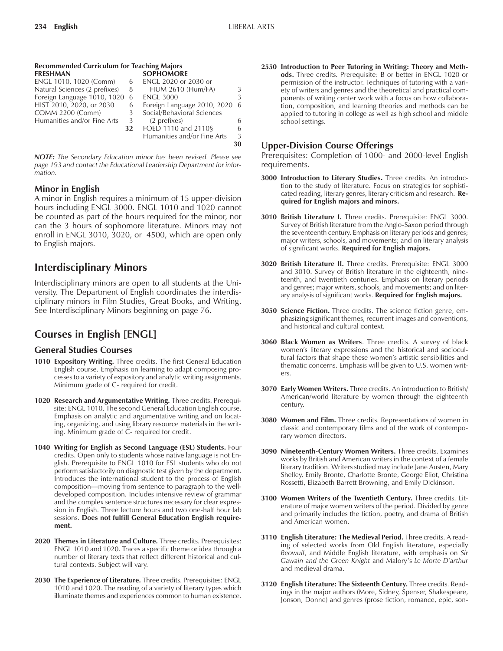**30**

| Recommended Curriculum for Teaching Majors |    |                             |     |  |  |
|--------------------------------------------|----|-----------------------------|-----|--|--|
| FRESHMAN                                   |    | <b>SOPHOMORE</b>            |     |  |  |
| ENGL 1010, 1020 (Comm)                     | 6  | ENGL 2020 or 2030 or        |     |  |  |
| Natural Sciences (2 prefixes)              | 8  | <b>HUM 2610 (Hum/FA)</b>    | 3   |  |  |
| Foreign Language 1010, 1020                | -6 | <b>ENGL 3000</b>            | 3   |  |  |
| HIST 2010, 2020, or 2030                   | 6  | Foreign Language 2010, 2020 | - 6 |  |  |
| <b>COMM 2200 (Comm)</b>                    | 3  | Social/Behavioral Sciences  |     |  |  |
| Humanities and/or Fine Arts                | 3  | (2 prefixes)                | 6   |  |  |
|                                            | 32 | FOED 1110 and 2110§         | 6   |  |  |
|                                            |    | Humanities and/or Fine Arts | 3   |  |  |
|                                            |    |                             |     |  |  |

*NOTE: The Secondary Education minor has been revised. Please see page 193 and contact the Educational Leadership Department for information.*

## **Minor in English**

A minor in English requires a minimum of 15 upper-division hours including ENGL 3000. ENGL 1010 and 1020 cannot be counted as part of the hours required for the minor, nor can the 3 hours of sophomore literature. Minors may not enroll in ENGL 3010, 3020, or 4500, which are open only to English majors.

# **Interdisciplinary Minors**

Interdisciplinary minors are open to all students at the University. The Department of English coordinates the interdisciplinary minors in Film Studies, Great Books, and Writing. See Interdisciplinary Minors beginning on page 76.

# **Courses in English [ENGL]**

## **General Studies Courses**

- **1010 Expository Writing.** Three credits. The first General Education English course. Emphasis on learning to adapt composing processes to a variety of expository and analytic writing assignments. Minimum grade of C- required for credit.
- **1020 Research and Argumentative Writing.** Three credits. Prerequisite: ENGL 1010. The second General Education English course. Emphasis on analytic and argumentative writing and on locating, organizing, and using library resource materials in the writing. Minimum grade of C- required for credit.
- **1040 Writing for English as Second Language (ESL) Students.** Four credits. Open only to students whose native language is not English. Prerequisite to ENGL 1010 for ESL students who do not perform satisfactorily on diagnostic test given by the department. Introduces the international student to the process of English composition—moving from sentence to paragraph to the welldeveloped composition. Includes intensive review of grammar and the complex sentence structures necessary for clear expression in English. Three lecture hours and two one-half hour lab sessions. **Does not fulfill General Education English requirement.**
- **2020 Themes in Literature and Culture.** Three credits. Prerequisites: ENGL 1010 and 1020. Traces a specific theme or idea through a number of literary texts that reflect different historical and cultural contexts. Subject will vary.
- **2030 The Experience of Literature.** Three credits. Prerequisites: ENGL 1010 and 1020. The reading of a variety of literary types which illuminate themes and experiences common to human existence.

**2550 Introduction to Peer Tutoring in Writing: Theory and Methods.** Three credits. Prerequisite: B or better in ENGL 1020 or permission of the instructor. Techniques of tutoring with a variety of writers and genres and the theoretical and practical components of writing center work with a focus on how collaboration, composition, and learning theories and methods can be applied to tutoring in college as well as high school and middle school settings.

## **Upper-Division Course Offerings**

Prerequisites: Completion of 1000- and 2000-level English requirements.

- **3000 Introduction to Literary Studies.** Three credits. An introduction to the study of literature. Focus on strategies for sophisticated reading, literary genres, literary criticism and research. **Required for English majors and minors.**
- **3010 British Literature I.** Three credits. Prerequisite: ENGL 3000. Survey of British literature from the Anglo-Saxon period through the seventeenth century. Emphasis on literary periods and genres; major writers, schools, and movements; and on literary analysis of significant works. **Required for English majors.**
- **3020 British Literature II.** Three credits. Prerequisite: ENGL 3000 and 3010. Survey of British literature in the eighteenth, nineteenth, and twentieth centuries. Emphasis on literary periods and genres; major writers, schools, and movements; and on literary analysis of significant works. **Required for English majors.**
- **3050 Science Fiction.** Three credits. The science fiction genre, emphasizing significant themes, recurrent images and conventions, and historical and cultural context.
- **3060 Black Women as Writers**. Three credits. A survey of black womenís literary expressions and the historical and sociocultural factors that shape these women's artistic sensibilities and thematic concerns. Emphasis will be given to U.S. women writers.
- **3070 Early Women Writers.** Three credits. An introduction to British/ American/world literature by women through the eighteenth century.
- **3080 Women and Film.** Three credits. Representations of women in classic and contemporary films and of the work of contemporary women directors.
- **3090 Nineteenth-Century Women Writers.** Three credits. Examines works by British and American writers in the context of a female literary tradition. Writers studied may include Jane Austen, Mary Shelley, Emily Bronte, Charlotte Bronte, George Eliot, Christina Rossetti, Elizabeth Barrett Browning, and Emily Dickinson.
- **3100 Women Writers of the Twentieth Century.** Three credits. Literature of major women writers of the period. Divided by genre and primarily includes the fiction, poetry, and drama of British and American women.
- **3110 English Literature: The Medieval Period.** Three credits. A reading of selected works from Old English literature, especially *Beowulf*, and Middle English literature, with emphasis on *Sir Gawain and the Green Knight* and Maloryís *Le Morte Díarthur* and medieval drama.
- **3120 English Literature: The Sixteenth Century.** Three credits. Readings in the major authors (More, Sidney, Spenser, Shakespeare, Jonson, Donne) and genres (prose fiction, romance, epic, son-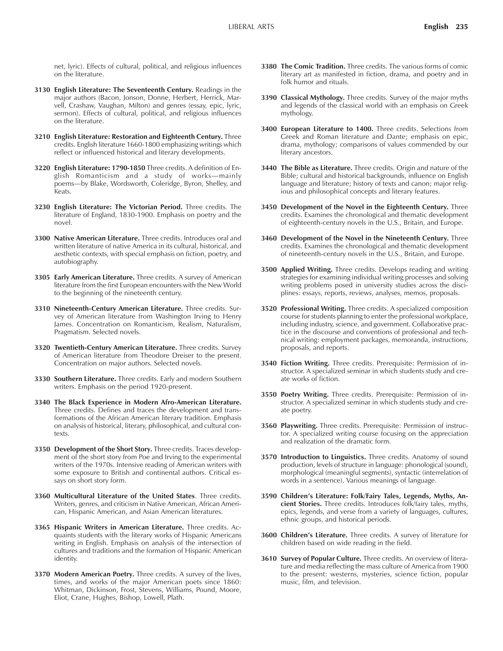net, lyric). Effects of cultural, political, and religious influences on the literature.

- **3130 English Literature: The Seventeenth Century.** Readings in the major authors (Bacon, Jonson, Donne, Herbert, Herrick, Marvell, Crashaw, Vaughan, Milton) and genres (essay, epic, lyric, sermon). Effects of cultural, political, and religious influences on the literature.
- **3210 English Literature: Restoration and Eighteenth Century.** Three credits. English literature 1660-1800 emphasizing writings which reflect or influenced historical and literary developments.
- **3220 English Literature: 1790-1850** Three credits. A definition of English Romanticism and a study of works-mainly poems-by Blake, Wordsworth, Coleridge, Byron, Shelley, and Keats.
- **3230 English Literature: The Victorian Period.** Three credits. The literature of England, 1830-1900. Emphasis on poetry and the novel.
- **3300 Native American Literature.** Three credits. Introduces oral and written literature of native America in its cultural, historical, and aesthetic contexts, with special emphasis on fiction, poetry, and autobiography.
- **3305 Early American Literature.** Three credits. A survey of American literature from the first European encounters with the New World to the beginning of the nineteenth century.
- **3310 Nineteenth-Century American Literature.** Three credits. Survey of American literature from Washington Irving to Henry James. Concentration on Romanticism, Realism, Naturalism, Pragmatism. Selected novels.
- **3320 Twentieth-Century American Literature.** Three credits. Survey of American literature from Theodore Dreiser to the present. Concentration on major authors. Selected novels.
- **3330 Southern Literature.** Three credits. Early and modern Southern writers. Emphasis on the period 1920-present.
- **3340 The Black Experience in Modern Afro-American Literature.** Three credits. Defines and traces the development and transformations of the African American literary tradition. Emphasis on analysis of historical, literary, philosophical, and cultural contexts.
- **3350 Development of the Short Story.** Three credits. Traces development of the short story from Poe and Irving to the experimental writers of the 1970s. Intensive reading of American writers with some exposure to British and continental authors. Critical essays on short story form.
- **3360 Multicultural Literature of the United States**. Three credits. Writers, genres, and criticism in Native American, African American, Hispanic American, and Asian American literatures.
- **3365 Hispanic Writers in American Literature.** Three credits. Acquaints students with the literary works of Hispanic Americans writing in English. Emphasis on analysis of the intersection of cultures and traditions and the formation of Hispanic American identity.
- **3370 Modern American Poetry.** Three credits. A survey of the lives, times, and works of the major American poets since 1860: Whitman, Dickinson, Frost, Stevens, Williams, Pound, Moore, Eliot, Crane, Hughes, Bishop, Lowell, Plath.
- **3380 The Comic Tradition.** Three credits. The various forms of comic literary art as manifested in fiction, drama, and poetry and in folk humor and rituals.
- **3390 Classical Mythology.** Three credits. Survey of the major myths and legends of the classical world with an emphasis on Greek mythology.
- **3400 European Literature to 1400.** Three credits. Selections from Greek and Roman literature and Dante; emphasis on epic, drama, mythology; comparisons of values commended by our literary ancestors.
- **3440 The Bible as Literature.** Three credits. Origin and nature of the Bible; cultural and historical backgrounds, influence on English language and literature; history of texts and canon; major religious and philosophical concepts and literary features.
- **3450 Development of the Novel in the Eighteenth Century.** Three credits. Examines the chronological and thematic development of eighteenth-century novels in the U.S., Britain, and Europe.
- **3460 Development of the Novel in the Nineteenth Century.** Three credits. Examines the chronological and thematic development of nineteenth-century novels in the U.S., Britain, and Europe.
- **3500 Applied Writing.** Three credits. Develops reading and writing strategies for examining individual writing processes and solving writing problems posed in university studies across the disciplines: essays, reports, reviews, analyses, memos, proposals.
- **3520 Professional Writing.** Three credits. A specialized composition course for students planning to enter the professional workplace, including industry, science, and government. Collaborative practice in the discourse and conventions of professional and technical writing: employment packages, memoranda, instructions, proposals, and reports.
- **3540 Fiction Writing.** Three credits. Prerequisite: Permission of instructor. A specialized seminar in which students study and create works of fiction.
- **3550 Poetry Writing.** Three credits. Prerequisite: Permission of instructor. A specialized seminar in which students study and create poetry.
- **3560 Playwriting.** Three credits. Prerequisite: Permission of instructor. A specialized writing course focusing on the appreciation and realization of the dramatic form.
- **3570 Introduction to Linguistics.** Three credits. Anatomy of sound production, levels of structure in language: phonological (sound), morphological (meaningful segments), syntactic (interrelation of words in a sentence). Various meanings of language.
- **3590 Childrenís Literature: Folk/Fairy Tales, Legends, Myths, Ancient Stories.** Three credits. Introduces folk/fairy tales, myths, epics, legends, and verse from a variety of languages, cultures, ethnic groups, and historical periods.
- **3600 Children's Literature.** Three credits. A survey of literature for children based on wide reading in the field.
- **3610 Survey of Popular Culture.** Three credits. An overview of literature and media reflecting the mass culture of America from 1900 to the present: westerns, mysteries, science fiction, popular music, film, and television.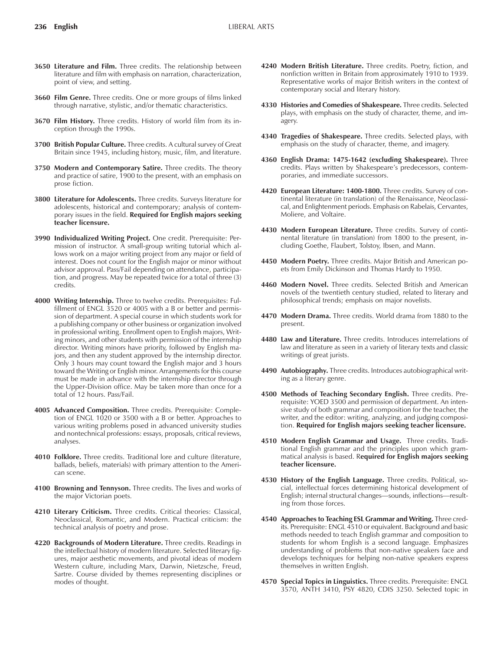- **3650 Literature and Film.** Three credits. The relationship between literature and film with emphasis on narration, characterization, point of view, and setting.
- **3660 Film Genre.** Three credits. One or more groups of films linked through narrative, stylistic, and/or thematic characteristics.
- **3670 Film History.** Three credits. History of world film from its inception through the 1990s.
- **3700 British Popular Culture.** Three credits. A cultural survey of Great Britain since 1945, including history, music, film, and literature.
- **3750 Modern and Contemporary Satire.** Three credits. The theory and practice of satire, 1900 to the present, with an emphasis on prose fiction.
- **3800 Literature for Adolescents.** Three credits. Surveys literature for adolescents, historical and contemporary; analysis of contemporary issues in the field. **Required for English majors seeking teacher licensure.**
- **3990 Individualized Writing Project.** One credit. Prerequisite: Permission of instructor. A small-group writing tutorial which allows work on a major writing project from any major or field of interest. Does not count for the English major or minor without advisor approval. Pass/Fail depending on attendance, participation, and progress. May be repeated twice for a total of three (3) credits.
- **4000 Writing Internship.** Three to twelve credits. Prerequisites: Fulfillment of ENGL 3520 or 4005 with a B or better and permission of department. A special course in which students work for a publishing company or other business or organization involved in professional writing. Enrollment open to English majors, Writing minors, and other students with permission of the internship director. Writing minors have priority, followed by English majors, and then any student approved by the internship director. Only 3 hours may count toward the English major and 3 hours toward the Writing or English minor. Arrangements for this course must be made in advance with the internship director through the Upper-Division office. May be taken more than once for a total of 12 hours. Pass/Fail.
- **4005 Advanced Composition.** Three credits. Prerequisite: Completion of ENGL 1020 or 3500 with a B or better. Approaches to various writing problems posed in advanced university studies and nontechnical professions: essays, proposals, critical reviews, analyses.
- **4010 Folklore.** Three credits. Traditional lore and culture (literature, ballads, beliefs, materials) with primary attention to the American scene.
- **4100 Browning and Tennyson.** Three credits. The lives and works of the major Victorian poets.
- **4210 Literary Criticism.** Three credits. Critical theories: Classical, Neoclassical, Romantic, and Modern. Practical criticism: the technical analysis of poetry and prose.
- **4220 Backgrounds of Modern Literature.** Three credits. Readings in the intellectual history of modern literature. Selected literary figures, major aesthetic movements, and pivotal ideas of modern Western culture, including Marx, Darwin, Nietzsche, Freud, Sartre. Course divided by themes representing disciplines or modes of thought.
- **4240 Modern British Literature.** Three credits. Poetry, fiction, and nonfiction written in Britain from approximately 1910 to 1939. Representative works of major British writers in the context of contemporary social and literary history.
- **4330 Histories and Comedies of Shakespeare.** Three credits. Selected plays, with emphasis on the study of character, theme, and imagery.
- **4340 Tragedies of Shakespeare.** Three credits. Selected plays, with emphasis on the study of character, theme, and imagery.
- **4360 English Drama: 1475-1642 (excluding Shakespeare).** Three credits. Plays written by Shakespeare's predecessors, contemporaries, and immediate successors.
- **4420 European Literature: 1400-1800.** Three credits. Survey of continental literature (in translation) of the Renaissance, Neoclassical, and Enlightenment periods. Emphasis on Rabelais, Cervantes, Moliere, and Voltaire.
- **4430 Modern European Literature.** Three credits. Survey of continental literature (in translation) from 1800 to the present, including Goethe, Flaubert, Tolstoy, Ibsen, and Mann.
- **4450 Modern Poetry.** Three credits. Major British and American poets from Emily Dickinson and Thomas Hardy to 1950.
- **4460 Modern Novel.** Three credits. Selected British and American novels of the twentieth century studied, related to literary and philosophical trends; emphasis on major novelists.
- **4470 Modern Drama.** Three credits. World drama from 1880 to the present.
- **4480 Law and Literature.** Three credits. Introduces interrelations of law and literature as seen in a variety of literary texts and classic writings of great jurists.
- **4490 Autobiography.** Three credits. Introduces autobiographical writing as a literary genre.
- **4500 Methods of Teaching Secondary English.** Three credits. Prerequisite: YOED 3500 and permission of department. An intensive study of both grammar and composition for the teacher, the writer, and the editor: writing, analyzing, and judging composition. **Required for English majors seeking teacher licensure.**
- **4510 Modern English Grammar and Usage.** Three credits. Traditional English grammar and the principles upon which grammatical analysis is based. R**equired for English majors seeking teacher licensure.**
- **4530 History of the English Language.** Three credits. Political, social, intellectual forces determining historical development of English; internal structural changes—sounds, inflections—resulting from those forces.
- **4540 Approaches to Teaching ESL Grammar and Writing.** Three credits. Prerequisite: ENGL 4510 or equivalent. Background and basic methods needed to teach English grammar and composition to students for whom English is a second language. Emphasizes understanding of problems that non-native speakers face and develops techniques for helping non-native speakers express themselves in written English.
- **4570 Special Topics in Linguistics.** Three credits. Prerequisite: ENGL 3570, ANTH 3410, PSY 4820, CDIS 3250. Selected topic in